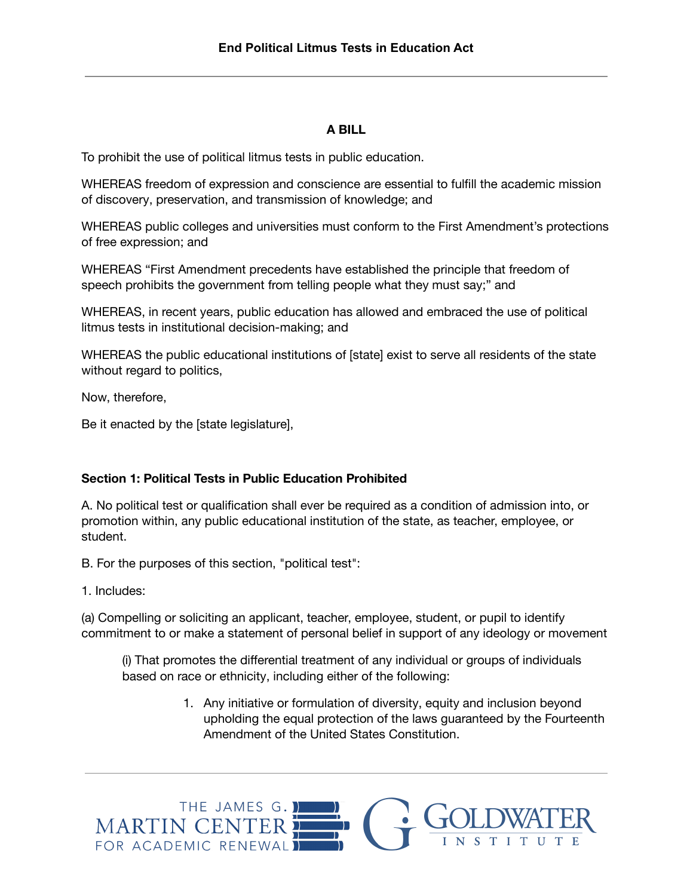## **A BILL**

To prohibit the use of political litmus tests in public education.

WHEREAS freedom of expression and conscience are essential to fulfill the academic mission of discovery, preservation, and transmission of knowledge; and

WHEREAS public colleges and universities must conform to the First Amendment's protections of free expression; and

WHEREAS "First Amendment precedents have established the principle that freedom of speech prohibits the government from telling people what they must say;" and

WHEREAS, in recent years, public education has allowed and embraced the use of political litmus tests in institutional decision-making; and

WHEREAS the public educational institutions of [state] exist to serve all residents of the state without regard to politics,

Now, therefore,

Be it enacted by the [state legislature],

## **Section 1: Political Tests in Public Education Prohibited**

A. No political test or qualification shall ever be required as a condition of admission into, or promotion within, any public educational institution of the state, as teacher, employee, or student.

B. For the purposes of this section, "political test":

1. Includes:

(a) Compelling or soliciting an applicant, teacher, employee, student, or pupil to identify commitment to or make a statement of personal belief in support of any ideology or movement

(i) That promotes the differential treatment of any individual or groups of individuals based on race or ethnicity, including either of the following:

> 1. Any initiative or formulation of diversity, equity and inclusion beyond upholding the equal protection of the laws guaranteed by the Fourteenth Amendment of the United States Constitution.